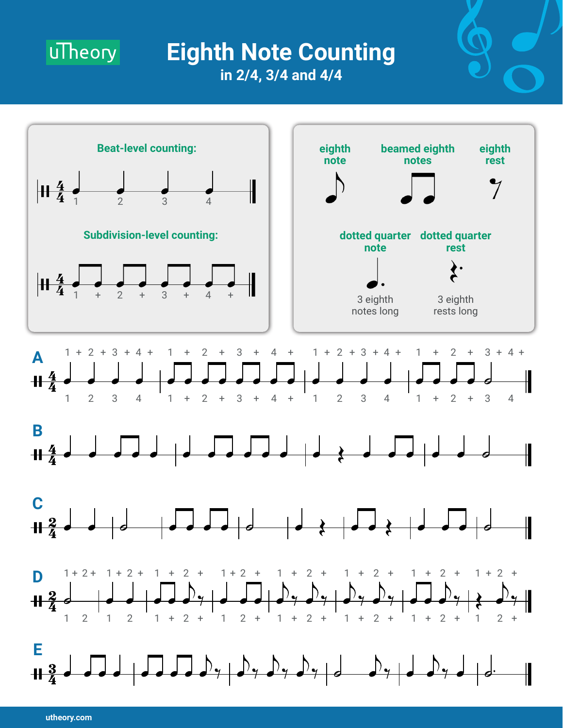

## **Eighth Note Counting in 2/4, 3/4 and 4/4**



**utheory.com**